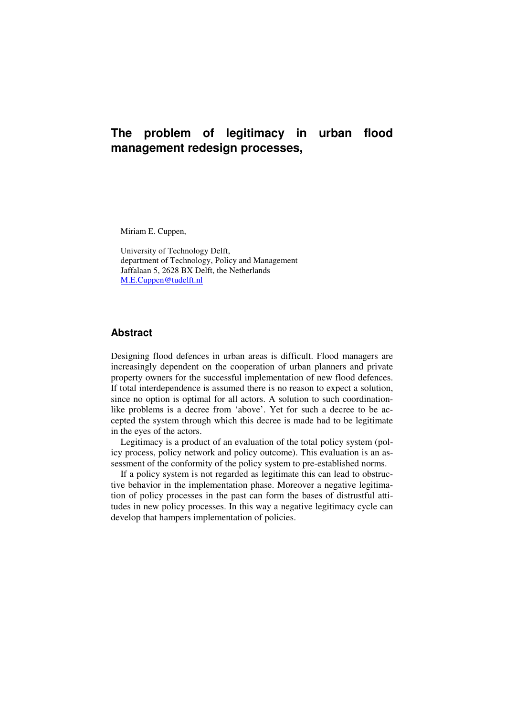Miriam E. Cuppen,

University of Technology Delft, department of Technology, Policy and Management Jaffalaan 5, 2628 BX Delft, the Netherlands M.E.Cuppen@tudelft.nl

## **Abstract**

Designing flood defences in urban areas is difficult. Flood managers are increasingly dependent on the cooperation of urban planners and private property owners for the successful implementation of new flood defences. If total interdependence is assumed there is no reason to expect a solution, since no option is optimal for all actors. A solution to such coordinationlike problems is a decree from 'above'. Yet for such a decree to be accepted the system through which this decree is made had to be legitimate in the eyes of the actors.

Legitimacy is a product of an evaluation of the total policy system (policy process, policy network and policy outcome). This evaluation is an assessment of the conformity of the policy system to pre-established norms.

If a policy system is not regarded as legitimate this can lead to obstructive behavior in the implementation phase. Moreover a negative legitimation of policy processes in the past can form the bases of distrustful attitudes in new policy processes. In this way a negative legitimacy cycle can develop that hampers implementation of policies.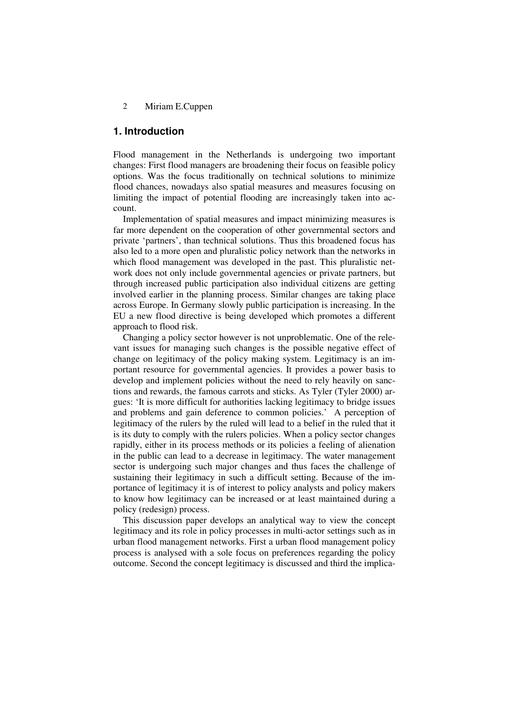### **1. Introduction**

Flood management in the Netherlands is undergoing two important changes: First flood managers are broadening their focus on feasible policy options. Was the focus traditionally on technical solutions to minimize flood chances, nowadays also spatial measures and measures focusing on limiting the impact of potential flooding are increasingly taken into account.

Implementation of spatial measures and impact minimizing measures is far more dependent on the cooperation of other governmental sectors and private 'partners', than technical solutions. Thus this broadened focus has also led to a more open and pluralistic policy network than the networks in which flood management was developed in the past. This pluralistic network does not only include governmental agencies or private partners, but through increased public participation also individual citizens are getting involved earlier in the planning process. Similar changes are taking place across Europe. In Germany slowly public participation is increasing. In the EU a new flood directive is being developed which promotes a different approach to flood risk.

Changing a policy sector however is not unproblematic. One of the relevant issues for managing such changes is the possible negative effect of change on legitimacy of the policy making system. Legitimacy is an important resource for governmental agencies. It provides a power basis to develop and implement policies without the need to rely heavily on sanctions and rewards, the famous carrots and sticks. As Tyler (Tyler 2000) argues: 'It is more difficult for authorities lacking legitimacy to bridge issues and problems and gain deference to common policies.' A perception of legitimacy of the rulers by the ruled will lead to a belief in the ruled that it is its duty to comply with the rulers policies. When a policy sector changes rapidly, either in its process methods or its policies a feeling of alienation in the public can lead to a decrease in legitimacy. The water management sector is undergoing such major changes and thus faces the challenge of sustaining their legitimacy in such a difficult setting. Because of the importance of legitimacy it is of interest to policy analysts and policy makers to know how legitimacy can be increased or at least maintained during a policy (redesign) process.

This discussion paper develops an analytical way to view the concept legitimacy and its role in policy processes in multi-actor settings such as in urban flood management networks. First a urban flood management policy process is analysed with a sole focus on preferences regarding the policy outcome. Second the concept legitimacy is discussed and third the implica-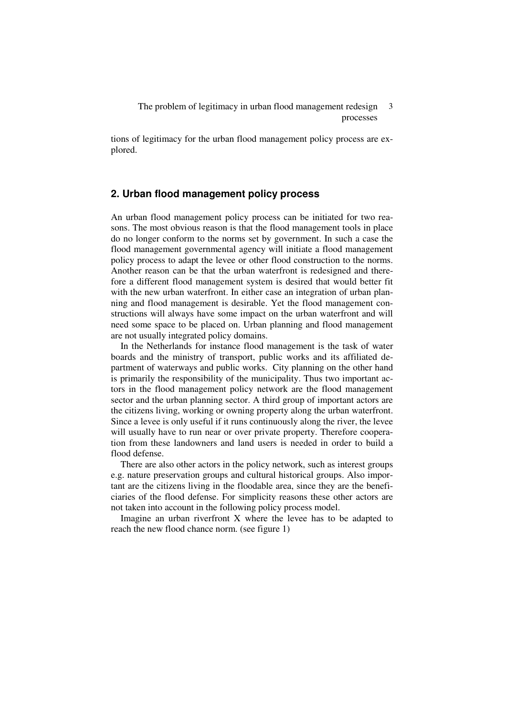tions of legitimacy for the urban flood management policy process are explored.

## **2. Urban flood management policy process**

An urban flood management policy process can be initiated for two reasons. The most obvious reason is that the flood management tools in place do no longer conform to the norms set by government. In such a case the flood management governmental agency will initiate a flood management policy process to adapt the levee or other flood construction to the norms. Another reason can be that the urban waterfront is redesigned and therefore a different flood management system is desired that would better fit with the new urban waterfront. In either case an integration of urban planning and flood management is desirable. Yet the flood management constructions will always have some impact on the urban waterfront and will need some space to be placed on. Urban planning and flood management are not usually integrated policy domains.

In the Netherlands for instance flood management is the task of water boards and the ministry of transport, public works and its affiliated department of waterways and public works. City planning on the other hand is primarily the responsibility of the municipality. Thus two important actors in the flood management policy network are the flood management sector and the urban planning sector. A third group of important actors are the citizens living, working or owning property along the urban waterfront. Since a levee is only useful if it runs continuously along the river, the levee will usually have to run near or over private property. Therefore cooperation from these landowners and land users is needed in order to build a flood defense.

There are also other actors in the policy network, such as interest groups e.g. nature preservation groups and cultural historical groups. Also important are the citizens living in the floodable area, since they are the beneficiaries of the flood defense. For simplicity reasons these other actors are not taken into account in the following policy process model.

Imagine an urban riverfront X where the levee has to be adapted to reach the new flood chance norm. (see figure 1)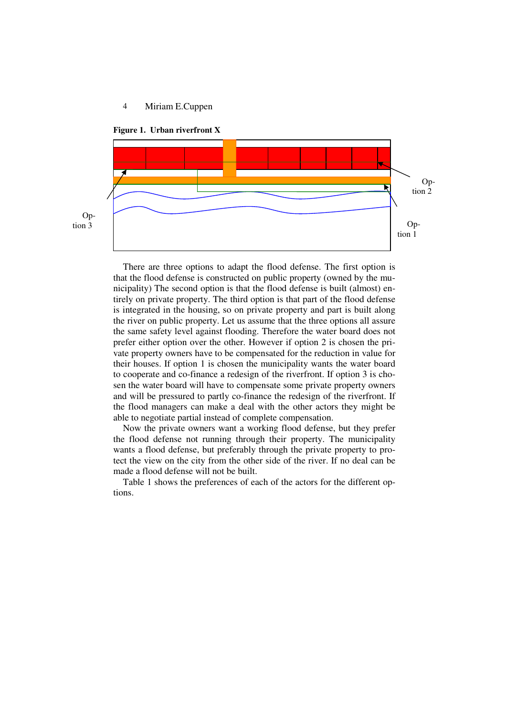

Option 3



There are three options to adapt the flood defense. The first option is that the flood defense is constructed on public property (owned by the municipality) The second option is that the flood defense is built (almost) entirely on private property. The third option is that part of the flood defense is integrated in the housing, so on private property and part is built along the river on public property. Let us assume that the three options all assure the same safety level against flooding. Therefore the water board does not prefer either option over the other. However if option 2 is chosen the private property owners have to be compensated for the reduction in value for their houses. If option 1 is chosen the municipality wants the water board to cooperate and co-finance a redesign of the riverfront. If option 3 is chosen the water board will have to compensate some private property owners and will be pressured to partly co-finance the redesign of the riverfront. If the flood managers can make a deal with the other actors they might be able to negotiate partial instead of complete compensation.

Now the private owners want a working flood defense, but they prefer the flood defense not running through their property. The municipality wants a flood defense, but preferably through the private property to protect the view on the city from the other side of the river. If no deal can be made a flood defense will not be built.

Table 1 shows the preferences of each of the actors for the different options.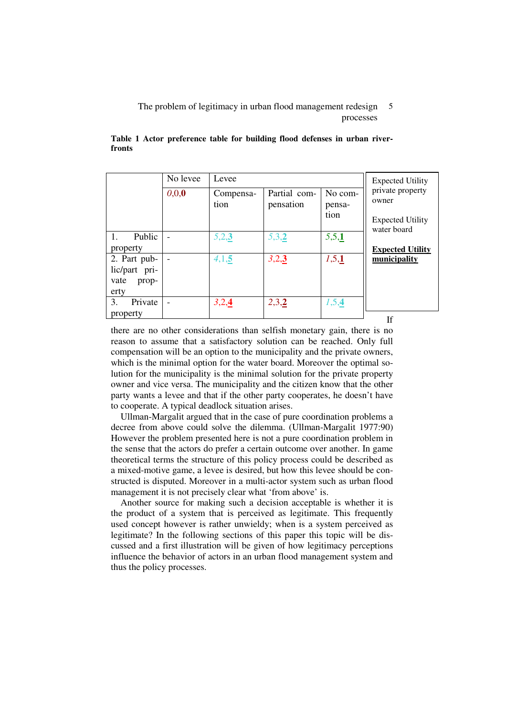|                                                        | No levee | Levee             | <b>Expected Utility</b>   |                           |                                                                     |  |
|--------------------------------------------------------|----------|-------------------|---------------------------|---------------------------|---------------------------------------------------------------------|--|
|                                                        | 0,0,0    | Compensa-<br>tion | Partial com-<br>pensation | No com-<br>pensa-<br>tion | private property<br>owner<br><b>Expected Utility</b><br>water board |  |
| Public                                                 |          | 5,2,3             | 5,3,2                     | 5,5,1                     |                                                                     |  |
| property                                               |          |                   |                           |                           | <b>Expected Utility</b>                                             |  |
| 2. Part pub-<br>lic/part pri-<br>vate<br>prop-<br>erty |          | 4,1,5             | 3,2,3                     | 1,5,1                     | municipality                                                        |  |
| Private<br>3.                                          |          | 3,2,4             | 2,3,2                     | 1,5,4                     |                                                                     |  |
| property                                               |          |                   |                           |                           | T£.                                                                 |  |

|        | Table 1 Actor preference table for building flood defenses in urban river- |  |  |  |  |
|--------|----------------------------------------------------------------------------|--|--|--|--|
| fronts |                                                                            |  |  |  |  |

there are no other considerations than selfish monetary gain, there is no reason to assume that a satisfactory solution can be reached. Only full compensation will be an option to the municipality and the private owners, which is the minimal option for the water board. Moreover the optimal solution for the municipality is the minimal solution for the private property owner and vice versa. The municipality and the citizen know that the other party wants a levee and that if the other party cooperates, he doesn't have to cooperate. A typical deadlock situation arises.

Ullman-Margalit argued that in the case of pure coordination problems a decree from above could solve the dilemma. (Ullman-Margalit 1977:90) However the problem presented here is not a pure coordination problem in the sense that the actors do prefer a certain outcome over another. In game theoretical terms the structure of this policy process could be described as a mixed-motive game, a levee is desired, but how this levee should be constructed is disputed. Moreover in a multi-actor system such as urban flood management it is not precisely clear what 'from above' is.

Another source for making such a decision acceptable is whether it is the product of a system that is perceived as legitimate. This frequently used concept however is rather unwieldy; when is a system perceived as legitimate? In the following sections of this paper this topic will be discussed and a first illustration will be given of how legitimacy perceptions influence the behavior of actors in an urban flood management system and thus the policy processes.

If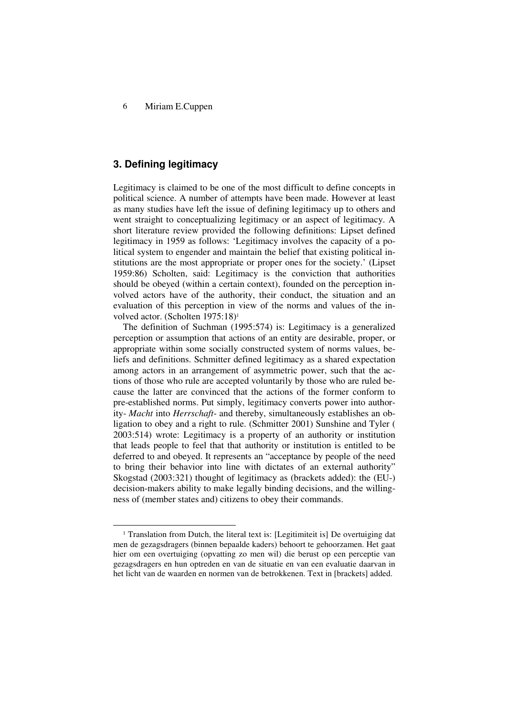## **3. Defining legitimacy**

 $\ddot{\phantom{a}}$ 

Legitimacy is claimed to be one of the most difficult to define concepts in political science. A number of attempts have been made. However at least as many studies have left the issue of defining legitimacy up to others and went straight to conceptualizing legitimacy or an aspect of legitimacy. A short literature review provided the following definitions: Lipset defined legitimacy in 1959 as follows: 'Legitimacy involves the capacity of a political system to engender and maintain the belief that existing political institutions are the most appropriate or proper ones for the society.' (Lipset 1959:86) Scholten, said: Legitimacy is the conviction that authorities should be obeyed (within a certain context), founded on the perception involved actors have of the authority, their conduct, the situation and an evaluation of this perception in view of the norms and values of the involved actor. (Scholten 1975:18)<sup>1</sup>

The definition of Suchman (1995:574) is: Legitimacy is a generalized perception or assumption that actions of an entity are desirable, proper, or appropriate within some socially constructed system of norms values, beliefs and definitions. Schmitter defined legitimacy as a shared expectation among actors in an arrangement of asymmetric power, such that the actions of those who rule are accepted voluntarily by those who are ruled because the latter are convinced that the actions of the former conform to pre-established norms. Put simply, legitimacy converts power into authority- *Macht* into *Herrschaft*- and thereby, simultaneously establishes an obligation to obey and a right to rule. (Schmitter 2001) Sunshine and Tyler ( 2003:514) wrote: Legitimacy is a property of an authority or institution that leads people to feel that that authority or institution is entitled to be deferred to and obeyed. It represents an "acceptance by people of the need to bring their behavior into line with dictates of an external authority" Skogstad (2003:321) thought of legitimacy as (brackets added): the (EU-) decision-makers ability to make legally binding decisions, and the willingness of (member states and) citizens to obey their commands.

<sup>&</sup>lt;sup>1</sup> Translation from Dutch, the literal text is: [Legitimiteit is] De overtuiging dat men de gezagsdragers (binnen bepaalde kaders) behoort te gehoorzamen. Het gaat hier om een overtuiging (opvatting zo men wil) die berust op een perceptie van gezagsdragers en hun optreden en van de situatie en van een evaluatie daarvan in het licht van de waarden en normen van de betrokkenen. Text in [brackets] added.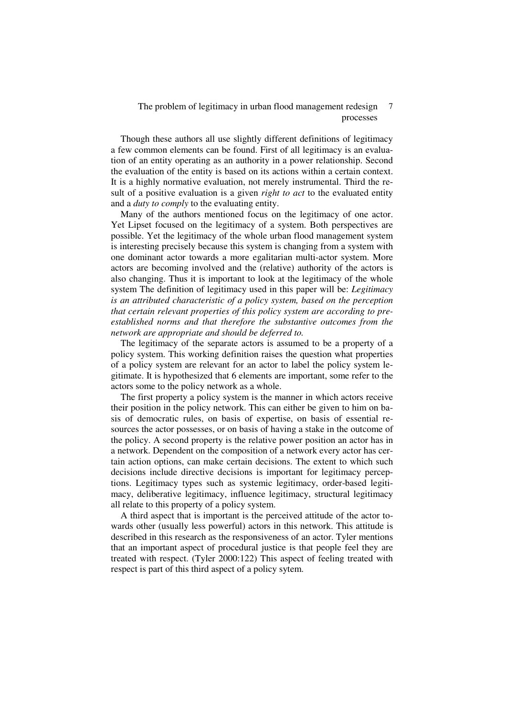Though these authors all use slightly different definitions of legitimacy a few common elements can be found. First of all legitimacy is an evaluation of an entity operating as an authority in a power relationship. Second the evaluation of the entity is based on its actions within a certain context. It is a highly normative evaluation, not merely instrumental. Third the result of a positive evaluation is a given *right to act* to the evaluated entity and a *duty to comply* to the evaluating entity.

Many of the authors mentioned focus on the legitimacy of one actor. Yet Lipset focused on the legitimacy of a system. Both perspectives are possible. Yet the legitimacy of the whole urban flood management system is interesting precisely because this system is changing from a system with one dominant actor towards a more egalitarian multi-actor system. More actors are becoming involved and the (relative) authority of the actors is also changing. Thus it is important to look at the legitimacy of the whole system The definition of legitimacy used in this paper will be: *Legitimacy is an attributed characteristic of a policy system, based on the perception that certain relevant properties of this policy system are according to preestablished norms and that therefore the substantive outcomes from the network are appropriate and should be deferred to.* 

The legitimacy of the separate actors is assumed to be a property of a policy system. This working definition raises the question what properties of a policy system are relevant for an actor to label the policy system legitimate. It is hypothesized that 6 elements are important, some refer to the actors some to the policy network as a whole.

The first property a policy system is the manner in which actors receive their position in the policy network. This can either be given to him on basis of democratic rules, on basis of expertise, on basis of essential resources the actor possesses, or on basis of having a stake in the outcome of the policy. A second property is the relative power position an actor has in a network. Dependent on the composition of a network every actor has certain action options, can make certain decisions. The extent to which such decisions include directive decisions is important for legitimacy perceptions. Legitimacy types such as systemic legitimacy, order-based legitimacy, deliberative legitimacy, influence legitimacy, structural legitimacy all relate to this property of a policy system.

A third aspect that is important is the perceived attitude of the actor towards other (usually less powerful) actors in this network. This attitude is described in this research as the responsiveness of an actor. Tyler mentions that an important aspect of procedural justice is that people feel they are treated with respect. (Tyler 2000:122) This aspect of feeling treated with respect is part of this third aspect of a policy sytem.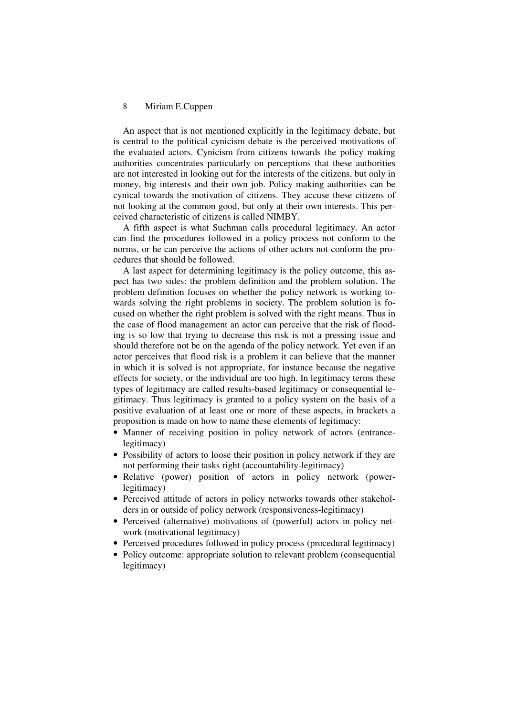An aspect that is not mentioned explicitly in the legitimacy debate, but is central to the political cynicism debate is the perceived motivations of the evaluated actors. Cynicism from citizens towards the policy making authorities concentrates particularly on perceptions that these authorities are not interested in looking out for the interests of the citizens, but only in money, big interests and their own job. Policy making authorities can be cynical towards the motivation of citizens. They accuse these citizens of not looking at the common good, but only at their own interests. This perceived characteristic of citizens is called NIMBY.

A fifth aspect is what Suchman calls procedural legitimacy. An actor can find the procedures followed in a policy process not conform to the norms, or he can perceive the actions of other actors not conform the procedures that should be followed.

A last aspect for determining legitimacy is the policy outcome, this aspect has two sides: the problem definition and the problem solution. The problem definition focuses on whether the policy network is working towards solving the right problems in society. The problem solution is focused on whether the right problem is solved with the right means. Thus in the case of flood management an actor can perceive that the risk of flooding is so low that trying to decrease this risk is not a pressing issue and should therefore not be on the agenda of the policy network. Yet even if an actor perceives that flood risk is a problem it can believe that the manner in which it is solved is not appropriate, for instance because the negative effects for society, or the individual are too high. In legitimacy terms these types of legitimacy are called results-based legitimacy or consequential legitimacy. Thus legitimacy is granted to a policy system on the basis of a positive evaluation of at least one or more of these aspects, in brackets a proposition is made on how to name these elements of legitimacy:

- Manner of receiving position in policy network of actors (entrancelegitimacy)
- Possibility of actors to loose their position in policy network if they are not performing their tasks right (accountability-legitimacy)
- Relative (power) position of actors in policy network (powerlegitimacy)
- Perceived attitude of actors in policy networks towards other stakeholders in or outside of policy network (responsiveness-legitimacy)
- Perceived (alternative) motivations of (powerful) actors in policy network (motivational legitimacy)
- Perceived procedures followed in policy process (procedural legitimacy)
- Policy outcome: appropriate solution to relevant problem (consequential) legitimacy)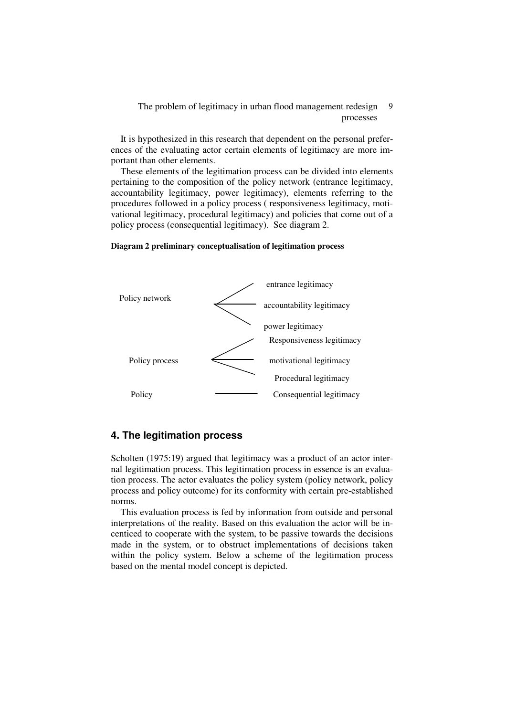It is hypothesized in this research that dependent on the personal preferences of the evaluating actor certain elements of legitimacy are more important than other elements.

These elements of the legitimation process can be divided into elements pertaining to the composition of the policy network (entrance legitimacy, accountability legitimacy, power legitimacy), elements referring to the procedures followed in a policy process ( responsiveness legitimacy, motivational legitimacy, procedural legitimacy) and policies that come out of a policy process (consequential legitimacy). See diagram 2.

#### **Diagram 2 preliminary conceptualisation of legitimation process**



## **4. The legitimation process**

Scholten (1975:19) argued that legitimacy was a product of an actor internal legitimation process. This legitimation process in essence is an evaluation process. The actor evaluates the policy system (policy network, policy process and policy outcome) for its conformity with certain pre-established norms.

This evaluation process is fed by information from outside and personal interpretations of the reality. Based on this evaluation the actor will be incenticed to cooperate with the system, to be passive towards the decisions made in the system, or to obstruct implementations of decisions taken within the policy system. Below a scheme of the legitimation process based on the mental model concept is depicted.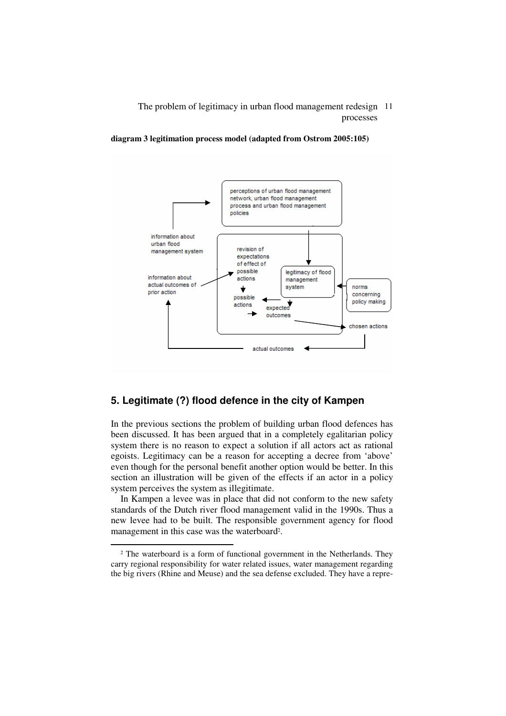**diagram 3 legitimation process model (adapted from Ostrom 2005:105)** 



## **5. Legitimate (?) flood defence in the city of Kampen**

In the previous sections the problem of building urban flood defences has been discussed. It has been argued that in a completely egalitarian policy system there is no reason to expect a solution if all actors act as rational egoists. Legitimacy can be a reason for accepting a decree from 'above' even though for the personal benefit another option would be better. In this section an illustration will be given of the effects if an actor in a policy system perceives the system as illegitimate.

In Kampen a levee was in place that did not conform to the new safety standards of the Dutch river flood management valid in the 1990s. Thus a new levee had to be built. The responsible government agency for flood management in this case was the waterboard<sup>2</sup>.

 $\overline{a}$ 

<sup>&</sup>lt;sup>2</sup> The waterboard is a form of functional government in the Netherlands. They carry regional responsibility for water related issues, water management regarding the big rivers (Rhine and Meuse) and the sea defense excluded. They have a repre-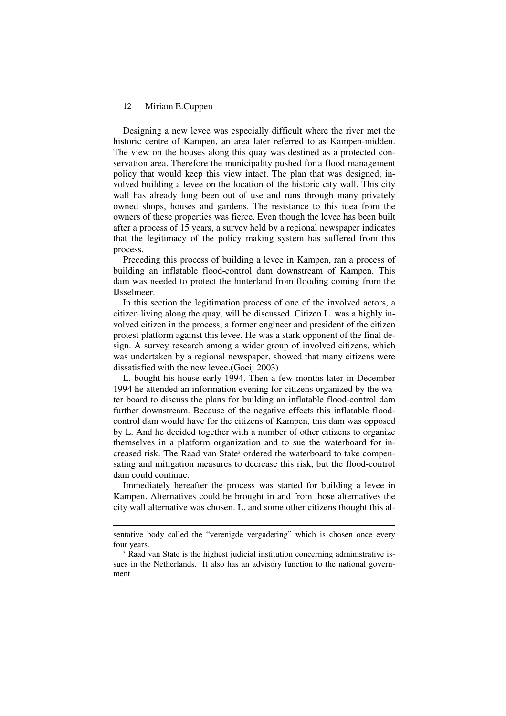$\ddot{\phantom{a}}$ 

Designing a new levee was especially difficult where the river met the historic centre of Kampen, an area later referred to as Kampen-midden. The view on the houses along this quay was destined as a protected conservation area. Therefore the municipality pushed for a flood management policy that would keep this view intact. The plan that was designed, involved building a levee on the location of the historic city wall. This city wall has already long been out of use and runs through many privately owned shops, houses and gardens. The resistance to this idea from the owners of these properties was fierce. Even though the levee has been built after a process of 15 years, a survey held by a regional newspaper indicates that the legitimacy of the policy making system has suffered from this process.

Preceding this process of building a levee in Kampen, ran a process of building an inflatable flood-control dam downstream of Kampen. This dam was needed to protect the hinterland from flooding coming from the IJsselmeer.

In this section the legitimation process of one of the involved actors, a citizen living along the quay, will be discussed. Citizen L. was a highly involved citizen in the process, a former engineer and president of the citizen protest platform against this levee. He was a stark opponent of the final design. A survey research among a wider group of involved citizens, which was undertaken by a regional newspaper, showed that many citizens were dissatisfied with the new levee.(Goeij 2003)

L. bought his house early 1994. Then a few months later in December 1994 he attended an information evening for citizens organized by the water board to discuss the plans for building an inflatable flood-control dam further downstream. Because of the negative effects this inflatable floodcontrol dam would have for the citizens of Kampen, this dam was opposed by L. And he decided together with a number of other citizens to organize themselves in a platform organization and to sue the waterboard for increased risk. The Raad van State<sup>3</sup> ordered the waterboard to take compensating and mitigation measures to decrease this risk, but the flood-control dam could continue.

Immediately hereafter the process was started for building a levee in Kampen. Alternatives could be brought in and from those alternatives the city wall alternative was chosen. L. and some other citizens thought this al-

sentative body called the "verenigde vergadering" which is chosen once every four years.

<sup>&</sup>lt;sup>3</sup> Raad van State is the highest judicial institution concerning administrative issues in the Netherlands. It also has an advisory function to the national government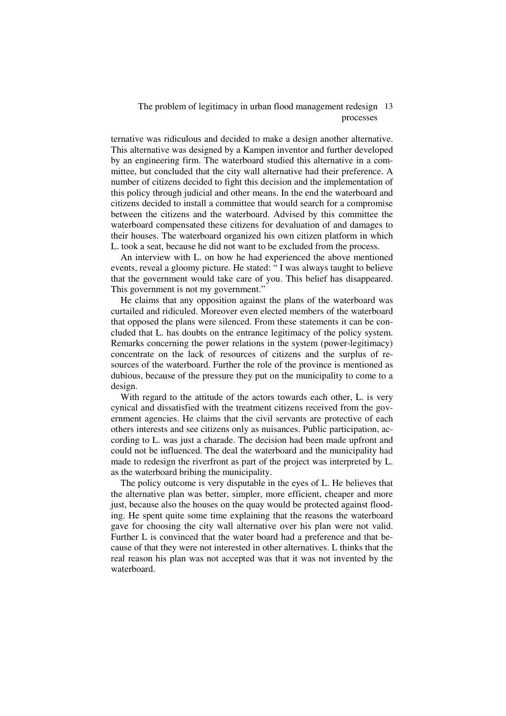ternative was ridiculous and decided to make a design another alternative. This alternative was designed by a Kampen inventor and further developed by an engineering firm. The waterboard studied this alternative in a committee, but concluded that the city wall alternative had their preference. A number of citizens decided to fight this decision and the implementation of this policy through judicial and other means. In the end the waterboard and citizens decided to install a committee that would search for a compromise between the citizens and the waterboard. Advised by this committee the waterboard compensated these citizens for devaluation of and damages to their houses. The waterboard organized his own citizen platform in which L. took a seat, because he did not want to be excluded from the process.

An interview with L. on how he had experienced the above mentioned events, reveal a gloomy picture. He stated: " I was always taught to believe that the government would take care of you. This belief has disappeared. This government is not my government."

He claims that any opposition against the plans of the waterboard was curtailed and ridiculed. Moreover even elected members of the waterboard that opposed the plans were silenced. From these statements it can be concluded that L. has doubts on the entrance legitimacy of the policy system. Remarks concerning the power relations in the system (power-legitimacy) concentrate on the lack of resources of citizens and the surplus of resources of the waterboard. Further the role of the province is mentioned as dubious, because of the pressure they put on the municipality to come to a design.

With regard to the attitude of the actors towards each other, L. is very cynical and dissatisfied with the treatment citizens received from the government agencies. He claims that the civil servants are protective of each others interests and see citizens only as nuisances. Public participation, according to L. was just a charade. The decision had been made upfront and could not be influenced. The deal the waterboard and the municipality had made to redesign the riverfront as part of the project was interpreted by L. as the waterboard bribing the municipality.

The policy outcome is very disputable in the eyes of L. He believes that the alternative plan was better, simpler, more efficient, cheaper and more just, because also the houses on the quay would be protected against flooding. He spent quite some time explaining that the reasons the waterboard gave for choosing the city wall alternative over his plan were not valid. Further L is convinced that the water board had a preference and that because of that they were not interested in other alternatives. L thinks that the real reason his plan was not accepted was that it was not invented by the waterboard.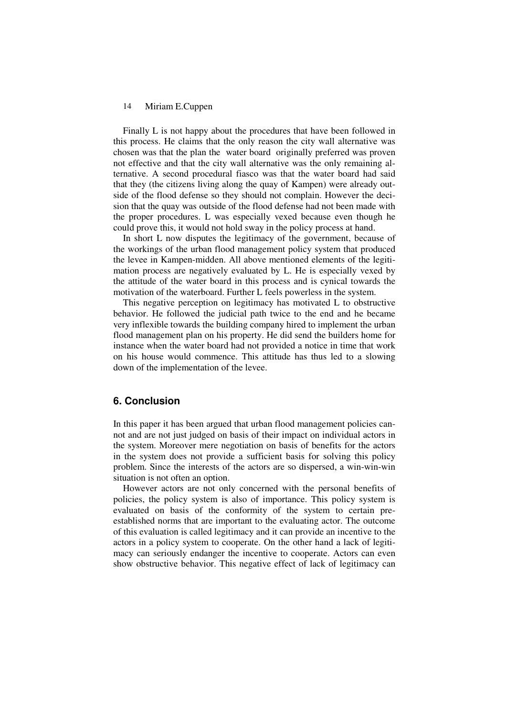Finally L is not happy about the procedures that have been followed in this process. He claims that the only reason the city wall alternative was chosen was that the plan the water board originally preferred was proven not effective and that the city wall alternative was the only remaining alternative. A second procedural fiasco was that the water board had said that they (the citizens living along the quay of Kampen) were already outside of the flood defense so they should not complain. However the decision that the quay was outside of the flood defense had not been made with the proper procedures. L was especially vexed because even though he could prove this, it would not hold sway in the policy process at hand.

In short L now disputes the legitimacy of the government, because of the workings of the urban flood management policy system that produced the levee in Kampen-midden. All above mentioned elements of the legitimation process are negatively evaluated by L. He is especially vexed by the attitude of the water board in this process and is cynical towards the motivation of the waterboard. Further L feels powerless in the system.

This negative perception on legitimacy has motivated L to obstructive behavior. He followed the judicial path twice to the end and he became very inflexible towards the building company hired to implement the urban flood management plan on his property. He did send the builders home for instance when the water board had not provided a notice in time that work on his house would commence. This attitude has thus led to a slowing down of the implementation of the levee.

## **6. Conclusion**

In this paper it has been argued that urban flood management policies cannot and are not just judged on basis of their impact on individual actors in the system. Moreover mere negotiation on basis of benefits for the actors in the system does not provide a sufficient basis for solving this policy problem. Since the interests of the actors are so dispersed, a win-win-win situation is not often an option.

However actors are not only concerned with the personal benefits of policies, the policy system is also of importance. This policy system is evaluated on basis of the conformity of the system to certain preestablished norms that are important to the evaluating actor. The outcome of this evaluation is called legitimacy and it can provide an incentive to the actors in a policy system to cooperate. On the other hand a lack of legitimacy can seriously endanger the incentive to cooperate. Actors can even show obstructive behavior. This negative effect of lack of legitimacy can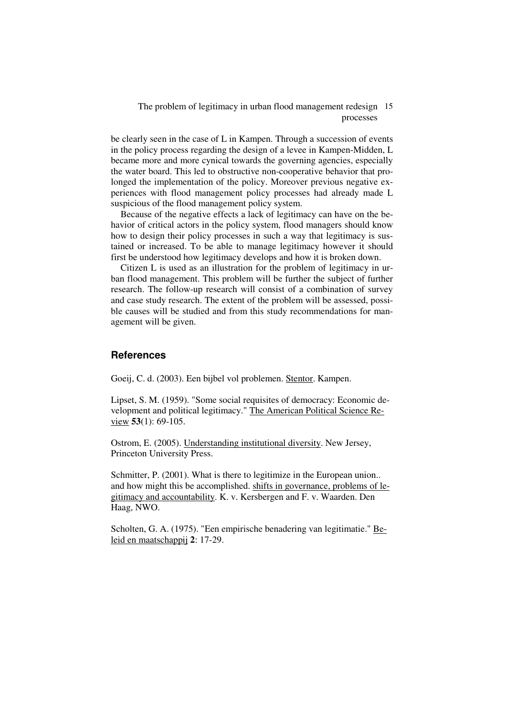be clearly seen in the case of L in Kampen. Through a succession of events in the policy process regarding the design of a levee in Kampen-Midden, L became more and more cynical towards the governing agencies, especially the water board. This led to obstructive non-cooperative behavior that prolonged the implementation of the policy. Moreover previous negative experiences with flood management policy processes had already made L suspicious of the flood management policy system.

Because of the negative effects a lack of legitimacy can have on the behavior of critical actors in the policy system, flood managers should know how to design their policy processes in such a way that legitimacy is sustained or increased. To be able to manage legitimacy however it should first be understood how legitimacy develops and how it is broken down.

Citizen L is used as an illustration for the problem of legitimacy in urban flood management. This problem will be further the subject of further research. The follow-up research will consist of a combination of survey and case study research. The extent of the problem will be assessed, possible causes will be studied and from this study recommendations for management will be given.

#### **References**

Goeij, C. d. (2003). Een bijbel vol problemen. Stentor. Kampen.

Lipset, S. M. (1959). "Some social requisites of democracy: Economic development and political legitimacy." The American Political Science Review **53**(1): 69-105.

Ostrom, E. (2005). Understanding institutional diversity. New Jersey, Princeton University Press.

Schmitter, P. (2001). What is there to legitimize in the European union.. and how might this be accomplished. shifts in governance, problems of legitimacy and accountability. K. v. Kersbergen and F. v. Waarden. Den Haag, NWO.

Scholten, G. A. (1975). "Een empirische benadering van legitimatie." Beleid en maatschappij **2**: 17-29.